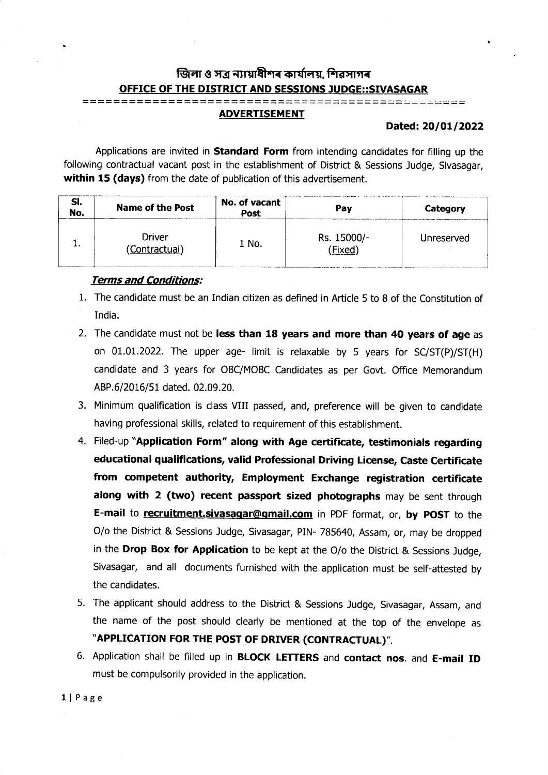## জিলা ও সত্ৰ ন্যায়াধীশৰ কাৰ্যালয়, শিৱসাগৰ OFFICE OF THE DISTRICT AND SESSIONS JUDGE::SIVASAGAR

## ADVERTISEMENT

## Dated: 20/01/2022

I

Applications are invited in **Standard Form** from intending candidates for filling up the following contractual vacant post in the establishment of District & Sessions Judge, Sivasagar, within 15 (days) from the date of publication of this advertisement.

| SI.<br>No. | <b>Name of the Post</b>       | No. of vacant<br>Post | Pay                  | Category   |
|------------|-------------------------------|-----------------------|----------------------|------------|
| . .        | <b>Driver</b><br>Contractual) | 1 No.                 | Rs. 15000/-<br>Fixed | Unreserved |

## Terms and Conditions:

- 1. The candidate must be an Indian citizen as defined in Afticle 5 to 8 of the Constitution of India.
- 2. The candidate must not be less than 18 years and more than 40 years of age as on  $01.01.2022$ . The upper age- limit is relaxable by 5 years for  $SC/ST(P)/ST(H)$ candidate and 3 years for OBC/MOBC Candidates as per Govt. Office Memorandum ABP.6/2016/51 dated. 02.09.20.
- 3. Minimum qualification is class VIII passed, and, preference will be given to candidate having professional skills, related to requirement of this establishment.
- 4. Filed-up "Application Form" along with Age certificate, testimonials regarding educational qualifications, valid Professional Driving License, Caste Certificate from competent authority, Employment Exchange registration certificate along with 2 (two) recent passport sized photographs may be sent through E-mail to recruitment.sivasagar@gmail.com in PDF format, or, by POST to the O/o the District & Sessions Judge, Sivasagar, PIN- 785640, Assam, or, may be dropped in the Drop Box for Application to be kept at the  $O/O$  the District & Sessions Judge, Sivasagar, and all documents furnished with the application must be self-attested by the candidates.
- 5. The applicant should address to the District & Sessions Judge, Sivasagar, Assam, and the name of the post should clearly be mentioned at the top of the envelope as "APPLICATION FOR THE POST OF DRTVER (CONTRACTUAL)".
- 6. Application shall be filled up in **BLOCK LETTERS** and contact nos. and E-mail ID must be compulsorily provided in the application.

llPage